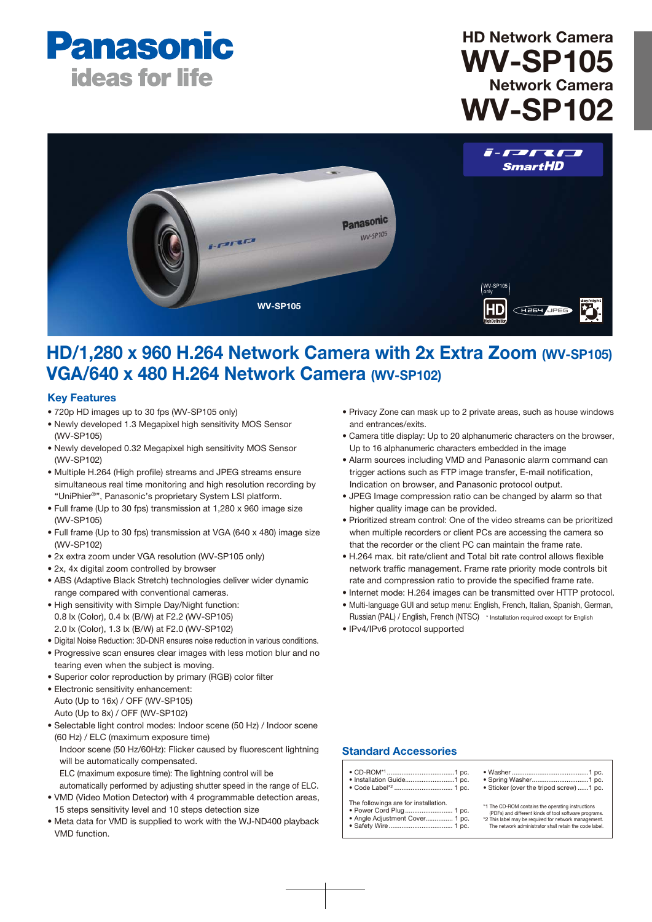

# HD Network Camera WV-SP105 Network Camera WV-SP102



## HD/1,280 x 960 H.264 Network Camera with 2x Extra Zoom (WV-SP105) VGA/640 x 480 H.264 Network Camera (WV-SP102)

## Key Features

- 720p HD images up to 30 fps (WV-SP105 only)
- Newly developed 1.3 Megapixel high sensitivity MOS Sensor (WV-SP105)
- Newly developed 0.32 Megapixel high sensitivity MOS Sensor (WV-SP102)
- Multiple H.264 (High profile) streams and JPEG streams ensure simultaneous real time monitoring and high resolution recording by "UniPhier®", Panasonic's proprietary System LSI platform.
- Full frame (Up to 30 fps) transmission at 1,280 x 960 image size (WV-SP105)
- Full frame (Up to 30 fps) transmission at VGA (640 x 480) image size (WV-SP102)
- 2x extra zoom under VGA resolution (WV-SP105 only)
- 2x, 4x digital zoom controlled by browser
- ABS (Adaptive Black Stretch) technologies deliver wider dynamic range compared with conventional cameras.
- High sensitivity with Simple Day/Night function: 0.8 lx (Color), 0.4 lx (B/W) at F2.2 (WV-SP105) 2.0 lx (Color), 1.3 lx (B/W) at F2.0 (WV-SP102)
- Digital Noise Reduction: 3D-DNR ensures noise reduction in various conditions.
- Progressive scan ensures clear images with less motion blur and no tearing even when the subject is moving.
- Superior color reproduction by primary (RGB) color filter
- Electronic sensitivity enhancement: Auto (Up to 16x) / OFF (WV-SP105) Auto (Up to 8x) / OFF (WV-SP102)
- Selectable light control modes: Indoor scene (50 Hz) / Indoor scene (60 Hz) / ELC (maximum exposure time) Indoor scene (50 Hz/60Hz): Flicker caused by fluorescent lightning will be automatically compensated.
	- ELC (maximum exposure time): The lightning control will be
- automatically performed by adjusting shutter speed in the range of ELC. • VMD (Video Motion Detector) with 4 programmable detection areas, 15 steps sensitivity level and 10 steps detection size
- Meta data for VMD is supplied to work with the WJ-ND400 playback VMD function.
- Privacy Zone can mask up to 2 private areas, such as house windows and entrances/exits.
- Camera title display: Up to 20 alphanumeric characters on the browser, Up to 16 alphanumeric characters embedded in the image
- Alarm sources including VMD and Panasonic alarm command can trigger actions such as FTP image transfer, E-mail notification, Indication on browser, and Panasonic protocol output.
- JPEG Image compression ratio can be changed by alarm so that higher quality image can be provided.
- Prioritized stream control: One of the video streams can be prioritized when multiple recorders or client PCs are accessing the camera so that the recorder or the client PC can maintain the frame rate.
- H.264 max. bit rate/client and Total bit rate control allows flexible network traffic management. Frame rate priority mode controls bit rate and compression ratio to provide the specified frame rate.
- Internet mode: H.264 images can be transmitted over HTTP protocol.
- Multi-language GUI and setup menu: English, French, Italian, Spanish, German,
- Russian (PAL) / English, French (NTSC) \* Installation required except for English • IPv4/IPv6 protocol supported

## Standard Accessories

- CD-ROM\*<sup>1</sup> .....................................1 pc. Installation Guide........... • Code Label\*2 ................................ 1 pc.
- The followings are for installation.
- Power Cord Plug.
- Angle Adjustment Cover ............... 1 pc. • Safety Wire
	-
- Washer ..........................................1 pc. • Spring Washer • Sticker (over the tripod screw) ......1 pc.

\*1 The CD-ROM contains the operating instructions

(PDFs) and different kinds of tool software programs. \*2 This label may be required for network management. The network administrator shall retain the code label.